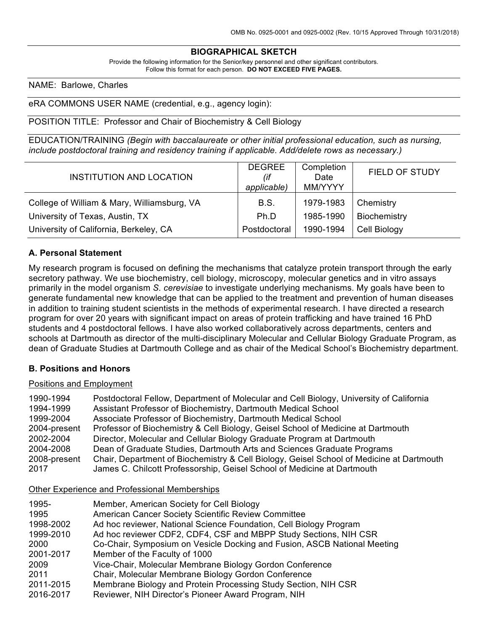### **BIOGRAPHICAL SKETCH**

Provide the following information for the Senior/key personnel and other significant contributors. Follow this format for each person. **DO NOT EXCEED FIVE PAGES.**

#### NAME: Barlowe, Charles

#### eRA COMMONS USER NAME (credential, e.g., agency login):

#### POSITION TITLE: Professor and Chair of Biochemistry & Cell Biology

EDUCATION/TRAINING *(Begin with baccalaureate or other initial professional education, such as nursing, include postdoctoral training and residency training if applicable. Add/delete rows as necessary.)*

| INSTITUTION AND LOCATION                    | <b>DEGREE</b><br>(if<br>applicable) | Completion<br>Date<br>MM/YYYY | <b>FIELD OF STUDY</b> |
|---------------------------------------------|-------------------------------------|-------------------------------|-----------------------|
| College of William & Mary, Williamsburg, VA | B.S.                                | 1979-1983                     | Chemistry             |
| University of Texas, Austin, TX             | Ph.D                                | 1985-1990                     | Biochemistry          |
| University of California, Berkeley, CA      | Postdoctoral                        | 1990-1994                     | Cell Biology          |

#### **A. Personal Statement**

My research program is focused on defining the mechanisms that catalyze protein transport through the early secretory pathway. We use biochemistry, cell biology, microscopy, molecular genetics and in vitro assays primarily in the model organism *S. cerevisiae* to investigate underlying mechanisms. My goals have been to generate fundamental new knowledge that can be applied to the treatment and prevention of human diseases in addition to training student scientists in the methods of experimental research. I have directed a research program for over 20 years with significant impact on areas of protein trafficking and have trained 16 PhD students and 4 postdoctoral fellows. I have also worked collaboratively across departments, centers and schools at Dartmouth as director of the multi-disciplinary Molecular and Cellular Biology Graduate Program, as dean of Graduate Studies at Dartmouth College and as chair of the Medical School's Biochemistry department.

### **B. Positions and Honors**

#### Positions and Employment

| 1990-1994    | Postdoctoral Fellow, Department of Molecular and Cell Biology, University of California  |
|--------------|------------------------------------------------------------------------------------------|
| 1994-1999    | Assistant Professor of Biochemistry, Dartmouth Medical School                            |
| 1999-2004    | Associate Professor of Biochemistry, Dartmouth Medical School                            |
| 2004-present | Professor of Biochemistry & Cell Biology, Geisel School of Medicine at Dartmouth         |
| 2002-2004    | Director, Molecular and Cellular Biology Graduate Program at Dartmouth                   |
| 2004-2008    | Dean of Graduate Studies, Dartmouth Arts and Sciences Graduate Programs                  |
| 2008-present | Chair, Department of Biochemistry & Cell Biology, Geisel School of Medicine at Dartmouth |
| 2017         | James C. Chilcott Professorship, Geisel School of Medicine at Dartmouth                  |

#### Other Experience and Professional Memberships

| 1995-     | Member, American Society for Cell Biology                                |
|-----------|--------------------------------------------------------------------------|
| 1995      | American Cancer Society Scientific Review Committee                      |
| 1998-2002 | Ad hoc reviewer, National Science Foundation, Cell Biology Program       |
| 1999-2010 | Ad hoc reviewer CDF2, CDF4, CSF and MBPP Study Sections, NIH CSR         |
| 2000      | Co-Chair, Symposium on Vesicle Docking and Fusion, ASCB National Meeting |
| 2001-2017 | Member of the Faculty of 1000                                            |
| 2009      | Vice-Chair, Molecular Membrane Biology Gordon Conference                 |
| 2011      | Chair, Molecular Membrane Biology Gordon Conference                      |
| 2011-2015 | Membrane Biology and Protein Processing Study Section, NIH CSR           |
| 2016-2017 | Reviewer, NIH Director's Pioneer Award Program, NIH                      |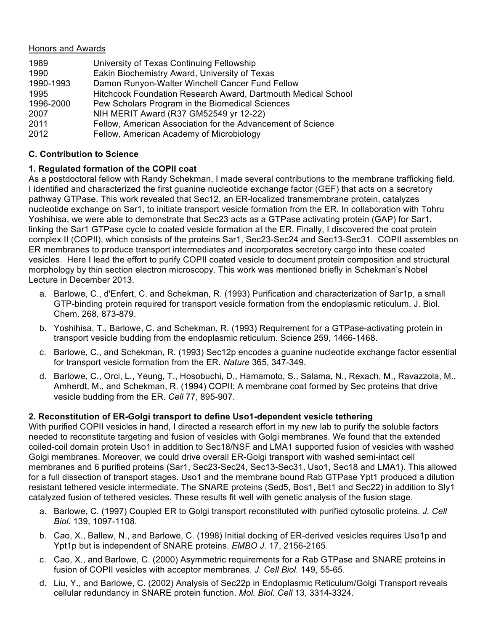### Honors and Awards

| University of Texas Continuing Fellowship                     |
|---------------------------------------------------------------|
| Eakin Biochemistry Award, University of Texas                 |
| Damon Runyon-Walter Winchell Cancer Fund Fellow               |
| Hitchcock Foundation Research Award, Dartmouth Medical School |
| Pew Scholars Program in the Biomedical Sciences               |
| NIH MERIT Award (R37 GM52549 yr 12-22)                        |
| Fellow, American Association for the Advancement of Science   |
| Fellow, American Academy of Microbiology                      |
|                                                               |

## **C. Contribution to Science**

# **1. Regulated formation of the COPII coat**

As a postdoctoral fellow with Randy Schekman, I made several contributions to the membrane trafficking field. I identified and characterized the first guanine nucleotide exchange factor (GEF) that acts on a secretory pathway GTPase. This work revealed that Sec12, an ER-localized transmembrane protein, catalyzes nucleotide exchange on Sar1, to initiate transport vesicle formation from the ER. In collaboration with Tohru Yoshihisa, we were able to demonstrate that Sec23 acts as a GTPase activating protein (GAP) for Sar1, linking the Sar1 GTPase cycle to coated vesicle formation at the ER. Finally, I discovered the coat protein complex II (COPII), which consists of the proteins Sar1, Sec23-Sec24 and Sec13-Sec31. COPII assembles on ER membranes to produce transport intermediates and incorporates secretory cargo into these coated vesicles. Here I lead the effort to purify COPII coated vesicle to document protein composition and structural morphology by thin section electron microscopy. This work was mentioned briefly in Schekman's Nobel Lecture in December 2013.

- a. Barlowe, C., d'Enfert, C. and Schekman, R. (1993) Purification and characterization of Sar1p, a small GTP-binding protein required for transport vesicle formation from the endoplasmic reticulum. J. Biol. Chem. 268, 873-879.
- b. Yoshihisa, T., Barlowe, C. and Schekman, R. (1993) Requirement for a GTPase-activating protein in transport vesicle budding from the endoplasmic reticulum. Science 259, 1466-1468.
- c. Barlowe, C., and Schekman, R. (1993) Sec12p encodes a guanine nucleotide exchange factor essential for transport vesicle formation from the ER. *Nature* 365, 347-349.
- d. Barlowe, C., Orci, L., Yeung, T., Hosobuchi, D., Hamamoto, S., Salama, N., Rexach, M., Ravazzola, M., Amherdt, M., and Schekman, R. (1994) COPII: A membrane coat formed by Sec proteins that drive vesicle budding from the ER. *Cell* 77, 895-907.

# **2. Reconstitution of ER-Golgi transport to define Uso1-dependent vesicle tethering**

With purified COPII vesicles in hand, I directed a research effort in my new lab to purify the soluble factors needed to reconstitute targeting and fusion of vesicles with Golgi membranes. We found that the extended coiled-coil domain protein Uso1 in addition to Sec18/NSF and LMA1 supported fusion of vesicles with washed Golgi membranes. Moreover, we could drive overall ER-Golgi transport with washed semi-intact cell membranes and 6 purified proteins (Sar1, Sec23-Sec24, Sec13-Sec31, Uso1, Sec18 and LMA1). This allowed for a full dissection of transport stages. Uso1 and the membrane bound Rab GTPase Ypt1 produced a dilution resistant tethered vesicle intermediate. The SNARE proteins (Sed5, Bos1, Bet1 and Sec22) in addition to Sly1 catalyzed fusion of tethered vesicles. These results fit well with genetic analysis of the fusion stage.

- a. Barlowe, C. (1997) Coupled ER to Golgi transport reconstituted with purified cytosolic proteins. *J. Cell Biol.* 139, 1097-1108.
- b. Cao, X., Ballew, N., and Barlowe, C. (1998) Initial docking of ER-derived vesicles requires Uso1p and Ypt1p but is independent of SNARE proteins. *EMBO J.* 17, 2156-2165.
- c. Cao, X., and Barlowe, C. (2000) Asymmetric requirements for a Rab GTPase and SNARE proteins in fusion of COPII vesicles with acceptor membranes. *J. Cell Biol.* 149, 55-65.
- d. Liu, Y., and Barlowe, C. (2002) Analysis of Sec22p in Endoplasmic Reticulum/Golgi Transport reveals cellular redundancy in SNARE protein function. *Mol. Biol. Cell* 13, 3314-3324.